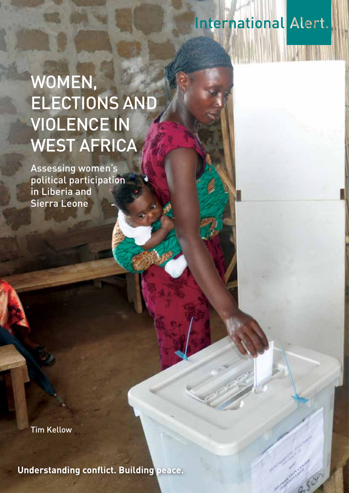# **International Alert.**

# WOMEN, ELECTIONS AND Violence in WEST AFRICA

Assessing women's political participation in Liberia and Sierra Leone

Tim Kellow

**Understanding conflict. Building peace.**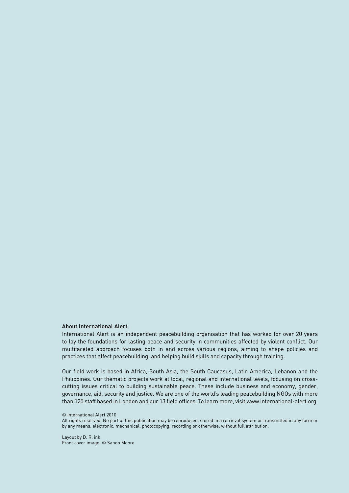#### About International Alert

International Alert is an independent peacebuilding organisation that has worked for over 20 years to lay the foundations for lasting peace and security in communities affected by violent conflict. Our multifaceted approach focuses both in and across various regions; aiming to shape policies and practices that affect peacebuilding; and helping build skills and capacity through training.

Our field work is based in Africa, South Asia, the South Caucasus, Latin America, Lebanon and the Philippines. Our thematic projects work at local, regional and international levels, focusing on crosscutting issues critical to building sustainable peace. These include business and economy, gender, governance, aid, security and justice. We are one of the world's leading peacebuilding NGOs with more than 125 staff based in London and our 13 field offices. To learn more, visit www.international-alert.org.

© International Alert 2010

All rights reserved. No part of this publication may be reproduced, stored in a retrieval system or transmitted in any form or by any means, electronic, mechanical, photocopying, recording or otherwise, without full attribution.

Layout by D. R. ink Front cover image: © Sando Moore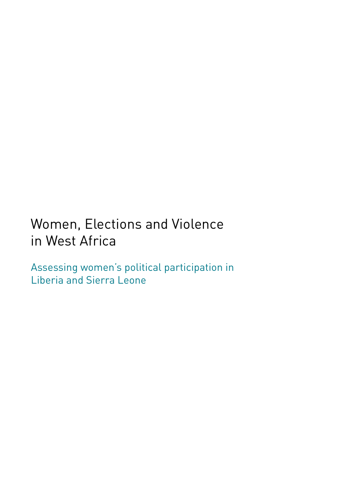# Women, Elections and Violence in West Africa

Assessing women's political participation in Liberia and Sierra Leone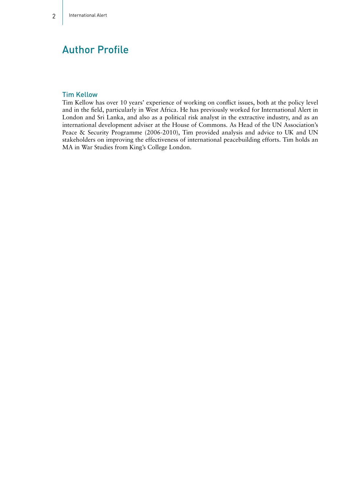# Author Profile

#### Tim Kellow

Tim Kellow has over 10 years' experience of working on conflict issues, both at the policy level and in the field, particularly in West Africa. He has previously worked for International Alert in London and Sri Lanka, and also as a political risk analyst in the extractive industry, and as an international development adviser at the House of Commons. As Head of the UN Association's Peace & Security Programme (2006-2010), Tim provided analysis and advice to UK and UN stakeholders on improving the effectiveness of international peacebuilding efforts. Tim holds an MA in War Studies from King's College London.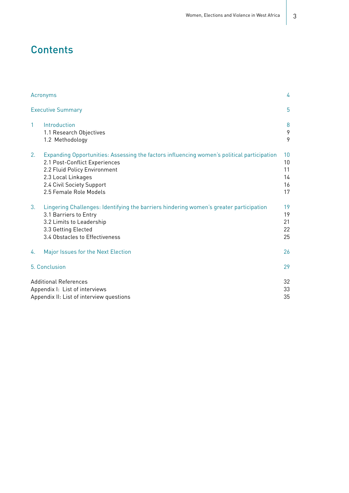# **Contents**

| Acronyms<br><b>Executive Summary</b> |                                                                                                                                                                                                                                          | 4<br>5                           |
|--------------------------------------|------------------------------------------------------------------------------------------------------------------------------------------------------------------------------------------------------------------------------------------|----------------------------------|
|                                      |                                                                                                                                                                                                                                          |                                  |
| 2.                                   | Expanding Opportunities: Assessing the factors influencing women's political participation<br>2.1 Post-Conflict Experiences<br>2.2 Fluid Policy Environment<br>2.3 Local Linkages<br>2.4 Civil Society Support<br>2.5 Female Role Models | 10<br>10<br>11<br>14<br>16<br>17 |
| 3.                                   | Lingering Challenges: Identifying the barriers hindering women's greater participation<br>3.1 Barriers to Entry<br>3.2 Limits to Leadership<br>3.3 Getting Elected<br>3.4 Obstacles to Effectiveness                                     | 19<br>19<br>21<br>22<br>25       |
| 4.                                   | Major Issues for the Next Election                                                                                                                                                                                                       | 26                               |
|                                      | 5. Conclusion                                                                                                                                                                                                                            | 29                               |
|                                      | <b>Additional References</b><br>Appendix I: List of interviews<br>Appendix II: List of interview questions                                                                                                                               |                                  |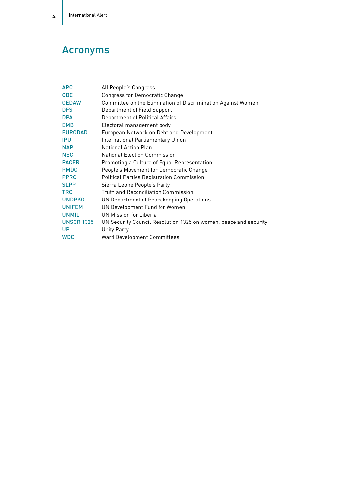# Acronyms

| <b>APC</b>        | All People's Congress                                            |
|-------------------|------------------------------------------------------------------|
| <b>CDC</b>        | <b>Congress for Democratic Change</b>                            |
| <b>CEDAW</b>      | Committee on the Elimination of Discrimination Against Women     |
| <b>DFS</b>        | Department of Field Support                                      |
| <b>DPA</b>        | Department of Political Affairs                                  |
| <b>EMB</b>        | Electoral management body                                        |
| <b>EURODAD</b>    | European Network on Debt and Development                         |
| <b>IPU</b>        | International Parliamentary Union                                |
| <b>NAP</b>        | <b>National Action Plan</b>                                      |
| <b>NEC</b>        | <b>National Election Commission</b>                              |
| <b>PACER</b>      | Promoting a Culture of Equal Representation                      |
| <b>PMDC</b>       | People's Movement for Democratic Change                          |
| <b>PPRC</b>       | <b>Political Parties Registration Commission</b>                 |
| <b>SLPP</b>       | Sierra Leone People's Party                                      |
| TRC               | <b>Truth and Reconciliation Commission</b>                       |
| <b>UNDPKO</b>     | UN Department of Peacekeeping Operations                         |
| <b>UNIFEM</b>     | UN Development Fund for Women                                    |
| <b>UNMIL</b>      | UN Mission for Liberia                                           |
| <b>UNSCR 1325</b> | UN Security Council Resolution 1325 on women, peace and security |
| <b>UP</b>         | <b>Unity Party</b>                                               |
| <b>WDC</b>        | Ward Development Committees                                      |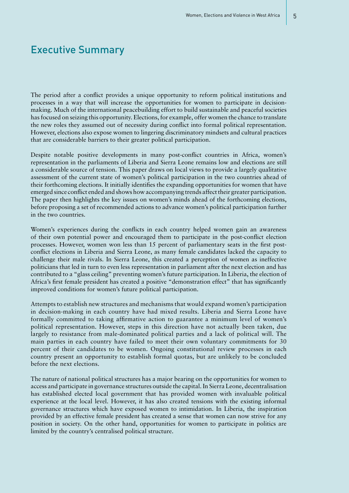# Executive Summary

The period after a conflict provides a unique opportunity to reform political institutions and processes in a way that will increase the opportunities for women to participate in decisionmaking. Much of the international peacebuilding effort to build sustainable and peaceful societies has focused on seizing this opportunity. Elections, for example, offer women the chance to translate the new roles they assumed out of necessity during conflict into formal political representation. However, elections also expose women to lingering discriminatory mindsets and cultural practices that are considerable barriers to their greater political participation.

Despite notable positive developments in many post-conflict countries in Africa, women's representation in the parliaments of Liberia and Sierra Leone remains low and elections are still a considerable source of tension. This paper draws on local views to provide a largely qualitative assessment of the current state of women's political participation in the two countries ahead of their forthcoming elections. It initially identifies the expanding opportunities for women that have emerged since conflict ended and shows how accompanying trends affect their greater participation. The paper then highlights the key issues on women's minds ahead of the forthcoming elections, before proposing a set of recommended actions to advance women's political participation further in the two countries.

Women's experiences during the conflicts in each country helped women gain an awareness of their own potential power and encouraged them to participate in the post-conflict election processes. However, women won less than 15 percent of parliamentary seats in the first postconflict elections in Liberia and Sierra Leone, as many female candidates lacked the capacity to challenge their male rivals. In Sierra Leone, this created a perception of women as ineffective politicians that led in turn to even less representation in parliament after the next election and has contributed to a "glass ceiling" preventing women's future participation. In Liberia, the election of Africa's first female president has created a positive "demonstration effect" that has significantly improved conditions for women's future political participation.

Attempts to establish new structures and mechanisms that would expand women's participation in decision-making in each country have had mixed results. Liberia and Sierra Leone have formally committed to taking affirmative action to guarantee a minimum level of women's political representation. However, steps in this direction have not actually been taken, due largely to resistance from male-dominated political parties and a lack of political will. The main parties in each country have failed to meet their own voluntary commitments for 30 percent of their candidates to be women. Ongoing constitutional review processes in each country present an opportunity to establish formal quotas, but are unlikely to be concluded before the next elections.

The nature of national political structures has a major bearing on the opportunities for women to access and participate in governance structures outside the capital. In Sierra Leone, decentralisation has established elected local government that has provided women with invaluable political experience at the local level. However, it has also created tensions with the existing informal governance structures which have exposed women to intimidation. In Liberia, the inspiration provided by an effective female president has created a sense that women can now strive for any position in society. On the other hand, opportunities for women to participate in politics are limited by the country's centralised political structure.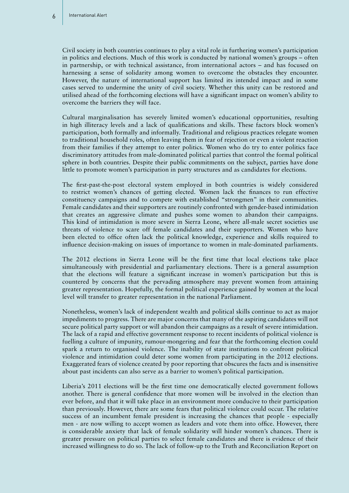Civil society in both countries continues to play a vital role in furthering women's participation in politics and elections. Much of this work is conducted by national women's groups – often in partnership, or with technical assistance, from international actors – and has focused on harnessing a sense of solidarity among women to overcome the obstacles they encounter. However, the nature of international support has limited its intended impact and in some cases served to undermine the unity of civil society. Whether this unity can be restored and utilised ahead of the forthcoming elections will have a significant impact on women's ability to overcome the barriers they will face.

Cultural marginalisation has severely limited women's educational opportunities, resulting in high illiteracy levels and a lack of qualifications and skills. These factors block women's participation, both formally and informally. Traditional and religious practices relegate women to traditional household roles, often leaving them in fear of rejection or even a violent reaction from their families if they attempt to enter politics. Women who do try to enter politics face discriminatory attitudes from male-dominated political parties that control the formal political sphere in both countries. Despite their public commitments on the subject, parties have done little to promote women's participation in party structures and as candidates for elections.

The first-past-the-post electoral system employed in both countries is widely considered to restrict women's chances of getting elected. Women lack the finances to run effective constituency campaigns and to compete with established "strongmen" in their communities. Female candidates and their supporters are routinely confronted with gender-based intimidation that creates an aggressive climate and pushes some women to abandon their campaigns. This kind of intimidation is more severe in Sierra Leone, where all-male secret societies use threats of violence to scare off female candidates and their supporters. Women who have been elected to office often lack the political knowledge, experience and skills required to influence decision-making on issues of importance to women in male-dominated parliaments.

The 2012 elections in Sierra Leone will be the first time that local elections take place simultaneously with presidential and parliamentary elections. There is a general assumption that the elections will feature a significant increase in women's participation but this is countered by concerns that the pervading atmosphere may prevent women from attaining greater representation. Hopefully, the formal political experience gained by women at the local level will transfer to greater representation in the national Parliament.

Nonetheless, women's lack of independent wealth and political skills continue to act as major impediments to progress. There are major concerns that many of the aspiring candidates will not secure political party support or will abandon their campaigns as a result of severe intimidation. The lack of a rapid and effective government response to recent incidents of political violence is fuelling a culture of impunity, rumour-mongering and fear that the forthcoming election could spark a return to organised violence. The inability of state institutions to confront political violence and intimidation could deter some women from participating in the 2012 elections. Exaggerated fears of violence created by poor reporting that obscures the facts and is insensitive about past incidents can also serve as a barrier to women's political participation.

Liberia's 2011 elections will be the first time one democratically elected government follows another. There is general confidence that more women will be involved in the election than ever before, and that it will take place in an environment more conducive to their participation than previously. However, there are some fears that political violence could occur. The relative success of an incumbent female president is increasing the chances that people - especially men - are now willing to accept women as leaders and vote them into office. However, there is considerable anxiety that lack of female solidarity will hinder women's chances. There is greater pressure on political parties to select female candidates and there is evidence of their increased willingness to do so. The lack of follow-up to the Truth and Reconciliation Report on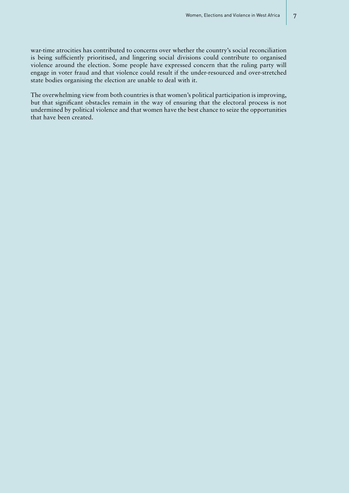war-time atrocities has contributed to concerns over whether the country's social reconciliation is being sufficiently prioritised, and lingering social divisions could contribute to organised violence around the election. Some people have expressed concern that the ruling party will engage in voter fraud and that violence could result if the under-resourced and over-stretched state bodies organising the election are unable to deal with it.

The overwhelming view from both countries is that women's political participation is improving, but that significant obstacles remain in the way of ensuring that the electoral process is not undermined by political violence and that women have the best chance to seize the opportunities that have been created.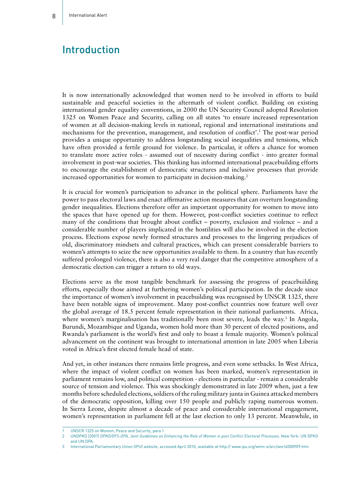### Introduction

It is now internationally acknowledged that women need to be involved in efforts to build sustainable and peaceful societies in the aftermath of violent conflict. Building on existing international gender equality conventions, in 2000 the UN Security Council adopted Resolution 1325 on Women Peace and Security, calling on all states 'to ensure increased representation of women at all decision-making levels in national, regional and international institutions and mechanisms for the prevention, management, and resolution of conflict'.1 The post-war period provides a unique opportunity to address longstanding social inequalities and tensions, which have often provided a fertile ground for violence. In particular, it offers a chance for women to translate more active roles - assumed out of necessity during conflict - into greater formal involvement in post-war societies. This thinking has informed international peacebuilding efforts to encourage the establishment of democratic structures and inclusive processes that provide increased opportunities for women to participate in decision-making.<sup>2</sup>

It is crucial for women's participation to advance in the political sphere. Parliaments have the power to pass electoral laws and enact affirmative action measures that can overturn longstanding gender inequalities. Elections therefore offer an important opportunity for women to move into the spaces that have opened up for them. However, post-conflict societies continue to reflect many of the conditions that brought about conflict – poverty, exclusion and violence – and a considerable number of players implicated in the hostilities will also be involved in the election process. Elections expose newly formed structures and processes to the lingering prejudices of old, discriminatory mindsets and cultural practices, which can present considerable barriers to women's attempts to seize the new opportunities available to them. In a country that has recently suffered prolonged violence, there is also a very real danger that the competitive atmosphere of a democratic election can trigger a return to old ways.

Elections serve as the most tangible benchmark for assessing the progress of peacebuilding efforts, especially those aimed at furthering women's political participation. In the decade since the importance of women's involvement in peacebuilding was recognised by UNSCR 1325, there have been notable signs of improvement. Many post-conflict countries now feature well over the global average of 18.5 percent female representation in their national parliaments. Africa, where women's marginalisation has traditionally been most severe, leads the way.<sup>3</sup> In Angola, Burundi, Mozambique and Uganda, women hold more than 30 percent of elected positions, and Rwanda's parliament is the world's first and only to boast a female majority. Women's political advancement on the continent was brought to international attention in late 2005 when Liberia voted in Africa's first elected female head of state.

And yet, in other instances there remains little progress, and even some setbacks. In West Africa, where the impact of violent conflict on women has been marked, women's representation in parliament remains low, and political competition - elections in particular - remain a considerable source of tension and violence. This was shockingly demonstrated in late 2009 when, just a few months before scheduled elections, soldiers of the ruling military junta in Guinea attacked members of the democratic opposition, killing over 150 people and publicly raping numerous women. In Sierra Leone, despite almost a decade of peace and considerable international engagement, women's representation in parliament fell at the last election to only 13 percent. Meanwhile, in

3 International Parliamentary Union (IPU) website, accessed April 2010, available at http:// www.ipu.org/wmn-e/arc/world300909.htm

<sup>1</sup> UNSCR 1325 on Women, Peace and Security, para 1.

<sup>2</sup> UNDPKO (2007) *DPKO/DFS-DPA, Joint Guidelines on Enhancing the Role of Women in post Conflict Electoral Processes.* New York: UN DPKO and UN DPA.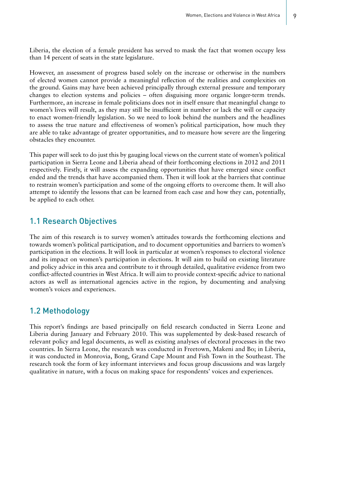Liberia, the election of a female president has served to mask the fact that women occupy less than 14 percent of seats in the state legislature.

However, an assessment of progress based solely on the increase or otherwise in the numbers of elected women cannot provide a meaningful reflection of the realities and complexities on the ground. Gains may have been achieved principally through external pressure and temporary changes to election systems and policies – often disguising more organic longer-term trends. Furthermore, an increase in female politicians does not in itself ensure that meaningful change to women's lives will result, as they may still be insufficient in number or lack the will or capacity to enact women-friendly legislation. So we need to look behind the numbers and the headlines to assess the true nature and effectiveness of women's political participation, how much they are able to take advantage of greater opportunities, and to measure how severe are the lingering obstacles they encounter.

This paper will seek to do just this by gauging local views on the current state of women's political participation in Sierra Leone and Liberia ahead of their forthcoming elections in 2012 and 2011 respectively. Firstly, it will assess the expanding opportunities that have emerged since conflict ended and the trends that have accompanied them. Then it will look at the barriers that continue to restrain women's participation and some of the ongoing efforts to overcome them. It will also attempt to identify the lessons that can be learned from each case and how they can, potentially, be applied to each other.

#### 1.1 Research Objectives

The aim of this research is to survey women's attitudes towards the forthcoming elections and towards women's political participation, and to document opportunities and barriers to women's participation in the elections. It will look in particular at women's responses to electoral violence and its impact on women's participation in elections. It will aim to build on existing literature and policy advice in this area and contribute to it through detailed, qualitative evidence from two conflict-affected countries in West Africa. It will aim to provide context-specific advice to national actors as well as international agencies active in the region, by documenting and analysing women's voices and experiences.

#### 1.2 Methodology

This report's findings are based principally on field research conducted in Sierra Leone and Liberia during January and February 2010. This was supplemented by desk-based research of relevant policy and legal documents, as well as existing analyses of electoral processes in the two countries. In Sierra Leone, the research was conducted in Freetown, Makeni and Bo; in Liberia, it was conducted in Monrovia, Bong, Grand Cape Mount and Fish Town in the Southeast. The research took the form of key informant interviews and focus group discussions and was largely qualitative in nature, with a focus on making space for respondents' voices and experiences.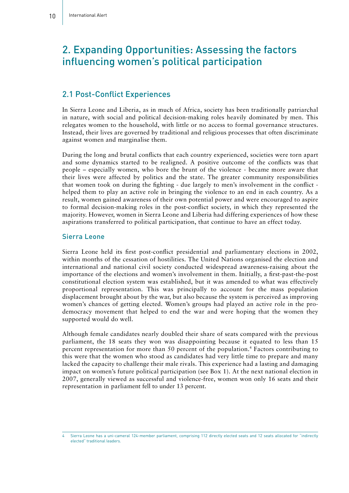# 2. Expanding Opportunities: Assessing the factors influencing women's political participation

#### 2.1 Post-Conflict Experiences

In Sierra Leone and Liberia, as in much of Africa, society has been traditionally patriarchal in nature, with social and political decision-making roles heavily dominated by men. This relegates women to the household, with little or no access to formal governance structures. Instead, their lives are governed by traditional and religious processes that often discriminate against women and marginalise them.

During the long and brutal conflicts that each country experienced, societies were torn apart and some dynamics started to be realigned. A positive outcome of the conflicts was that people – especially women, who bore the brunt of the violence - became more aware that their lives were affected by politics and the state. The greater community responsibilities that women took on during the fighting - due largely to men's involvement in the conflict helped them to play an active role in bringing the violence to an end in each country. As a result, women gained awareness of their own potential power and were encouraged to aspire to formal decision-making roles in the post-conflict society, in which they represented the majority. However, women in Sierra Leone and Liberia had differing experiences of how these aspirations transferred to political participation, that continue to have an effect today.

#### Sierra Leone

Sierra Leone held its first post-conflict presidential and parliamentary elections in 2002, within months of the cessation of hostilities. The United Nations organised the election and international and national civil society conducted widespread awareness-raising about the importance of the elections and women's involvement in them. Initially, a first-past-the-post constitutional election system was established, but it was amended to what was effectively proportional representation. This was principally to account for the mass population displacement brought about by the war, but also because the system is perceived as improving women's chances of getting elected. Women's groups had played an active role in the prodemocracy movement that helped to end the war and were hoping that the women they supported would do well.

Although female candidates nearly doubled their share of seats compared with the previous parliament, the 18 seats they won was disappointing because it equated to less than 15 percent representation for more than 50 percent of the population.4 Factors contributing to this were that the women who stood as candidates had very little time to prepare and many lacked the capacity to challenge their male rivals. This experience had a lasting and damaging impact on women's future political participation (see Box 1). At the next national election in 2007, generally viewed as successful and violence-free, women won only 16 seats and their representation in parliament fell to under 13 percent.

Sierra Leone has a uni-cameral 124-member parliament, comprising 112 directly elected seats and 12 seats allocated for "indirectly elected" traditional leaders.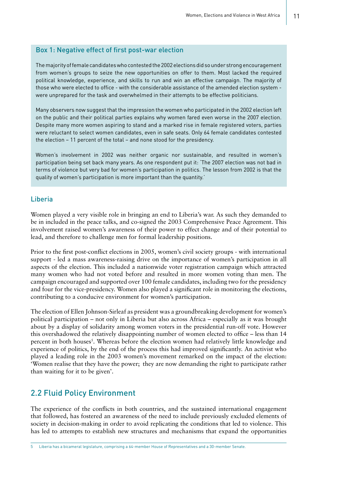#### Box 1: Negative effect of first post-war election

The majority of female candidates who contested the 2002 elections did so under strong encouragement from women's groups to seize the new opportunities on offer to them. Most lacked the required political knowledge, experience, and skills to run and win an effective campaign. The majority of those who were elected to office - with the considerable assistance of the amended election system were unprepared for the task and overwhelmed in their attempts to be effective politicians.

Many observers now suggest that the impression the women who participated in the 2002 election left on the public and their political parties explains why women fared even worse in the 2007 election. Despite many more women aspiring to stand and a marked rise in female registered voters, parties were reluctant to select women candidates, even in safe seats. Only 64 female candidates contested the election – 11 percent of the total – and none stood for the presidency.

Women's involvement in 2002 was neither organic nor sustainable, and resulted in women's participation being set back many years. As one respondent put it: 'The 2007 election was not bad in terms of violence but very bad for women's participation in politics. The lesson from 2002 is that the quality of women's participation is more important than the quantity.'

#### Liberia

Women played a very visible role in bringing an end to Liberia's war. As such they demanded to be in included in the peace talks, and co-signed the 2003 Comprehensive Peace Agreement. This involvement raised women's awareness of their power to effect change and of their potential to lead, and therefore to challenge men for formal leadership positions.

Prior to the first post-conflict elections in 2005, women's civil society groups - with international support - led a mass awareness-raising drive on the importance of women's participation in all aspects of the election. This included a nationwide voter registration campaign which attracted many women who had not voted before and resulted in more women voting than men. The campaign encouraged and supported over 100 female candidates, including two for the presidency and four for the vice-presidency. Women also played a significant role in monitoring the elections, contributing to a conducive environment for women's participation.

The election of Ellen Johnson-Sirleaf as president was a groundbreaking development for women's political participation – not only in Liberia but also across Africa – especially as it was brought about by a display of solidarity among women voters in the presidential run-off vote. However this overshadowed the relatively disappointing number of women elected to office – less than 14 percent in both houses<sup>5</sup>. Whereas before the election women had relatively little knowledge and experience of politics, by the end of the process this had improved significantly. An activist who played a leading role in the 2003 women's movement remarked on the impact of the election: 'Women realise that they have the power; they are now demanding the right to participate rather than waiting for it to be given'.

#### 2.2 Fluid Policy Environment

The experience of the conflicts in both countries, and the sustained international engagement that followed, has fostered an awareness of the need to include previously excluded elements of society in decision-making in order to avoid replicating the conditions that led to violence. This has led to attempts to establish new structures and mechanisms that expand the opportunities

<sup>5</sup> Liberia has a bicameral legislature, comprising a 64-member House of Representatives and a 30-member Senate.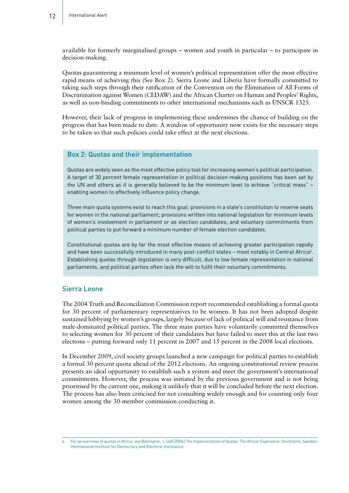available for formerly marginalised groups – women and youth in particular – to participate in decision-making.

Quotas guaranteeing a minimum level of women's political representation offer the most effective rapid means of achieving this (See Box 2). Sierra Leone and Liberia have formally committed to taking such steps through their ratification of the Convention on the Elimination of All Forms of Discrimination against Women (CEDAW) and the African Charter on Human and Peoples' Rights, as well as non-binding commitments to other international mechanisms such as UNSCR 1325.

However, their lack of progress in implementing these undermines the chance of building on the progress that has been made to date. A window of opportunity now exists for the necessary steps to be taken so that such policies could take effect at the next elections.

#### Box 2: Quotas and their implementation

Quotas are widely seen as the most effective policy tool for increasing women's political participation. A target of 30 percent female representation in political decision-making positions has been set by the UN and others as it is generally believed to be the minimum level to achieve "critical mass" – enabling women to effectively influence policy change.

Three main quota systems exist to reach this goal: provisions in a state's constitution to reserve seats for women in the national parliament; provisions written into national legislation for minimum levels of women's involvement in parliament or as election candidates; and voluntary commitments from political parties to put forward a minimum number of female election candidates.

Constitutional quotas are by far the most effective means of achieving greater participation rapidly and have been successfully introduced in many post-conflict states - most notably in Central Africa<sup>6</sup>. Establishing quotas through legislation is very difficult, due to low female representation in national parliaments, and political parties often lack the will to fulfil their voluntary commitments.

#### Sierra Leone

The 2004 Truth and Reconciliation Commission report recommended establishing a formal quota for 30 percent of parliamentary representatives to be women. It has not been adopted despite sustained lobbying by women's groups, largely because of lack of political will and resistance from male-dominated political parties. The three main parties have voluntarily committed themselves to selecting women for 30 percent of their candidates but have failed to meet this at the last two elections – putting forward only 11 percent in 2007 and 15 percent in the 2008 local elections.

In December 2009, civil society groups launched a new campaign for political parties to establish a formal 30 percent quota ahead of the 2012 elections. An ongoing constitutional review process presents an ideal opportunity to establish such a system and meet the government's international commitments. However, the process was initiated by the previous government and is not being prioritised by the current one, making it unlikely that it will be concluded before the next election. The process has also been criticised for not consulting widely enough and for counting only four women among the 30-member commission conducting it.

<sup>6</sup> For an overview of quotas in Africa, see Ballington, J. (ed) (2004) *The Implementation of Quotas: The African Experience*. Stockholm, Sweden: International Institute for Democracy and Electoral Assistance.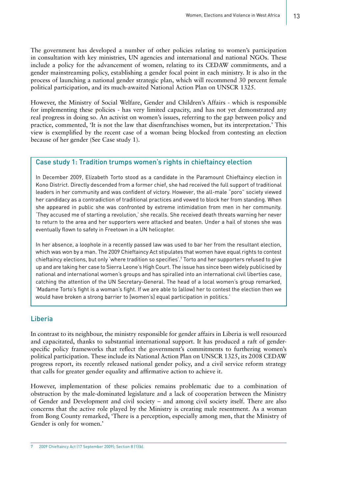The government has developed a number of other policies relating to women's participation in consultation with key ministries, UN agencies and international and national NGOs. These include a policy for the advancement of women, relating to its CEDAW commitments, and a gender mainstreaming policy, establishing a gender focal point in each ministry. It is also in the process of launching a national gender strategic plan, which will recommend 30 percent female political participation, and its much-awaited National Action Plan on UNSCR 1325.

However, the Ministry of Social Welfare, Gender and Children's Affairs - which is responsible for implementing these policies - has very limited capacity, and has not yet demonstrated any real progress in doing so. An activist on women's issues, referring to the gap between policy and practice, commented, 'It is not the law that disenfranchises women, but its interpretation.' This view is exemplified by the recent case of a woman being blocked from contesting an election because of her gender (See Case study 1).

#### Case study 1: Tradition trumps women's rights in chieftaincy election

In December 2009, Elizabeth Torto stood as a candidate in the Paramount Chieftaincy election in Kono District. Directly descended from a former chief, she had received the full support of traditional leaders in her community and was confident of victory. However, the all-male "poro" society viewed her candidacy as a contradiction of traditional practices and vowed to block her from standing. When she appeared in public she was confronted by extreme intimidation from men in her community. 'They accused me of starting a revolution,' she recalls. She received death threats warning her never to return to the area and her supporters were attacked and beaten. Under a hail of stones she was eventually flown to safety in Freetown in a UN helicopter.

In her absence, a loophole in a recently passed law was used to bar her from the resultant election, which was won by a man. The 2009 Chieftaincy Act stipulates that women have equal rights to contest chieftaincy elections, but only 'where tradition so specifies'.7 Torto and her supporters refused to give up and are taking her case to Sierra Leone's High Court. The issue has since been widely publicised by national and international women's groups and has spiralled into an international civil liberties case, catching the attention of the UN Secretary-General. The head of a local women's group remarked, 'Madame Torto's fight is a woman's fight. If we are able to (allow) her to contest the election then we would have broken a strong barrier to [women's] equal participation in politics.'

#### Liberia

L

In contrast to its neighbour, the ministry responsible for gender affairs in Liberia is well resourced and capacitated, thanks to substantial international support. It has produced a raft of genderspecific policy frameworks that reflect the government's commitments to furthering women's political participation. These include its National Action Plan on UNSCR 1325, its 2008 CEDAW progress report, its recently released national gender policy, and a civil service reform strategy that calls for greater gender equality and affirmative action to achieve it.

However, implementation of these policies remains problematic due to a combination of obstruction by the male-dominated legislature and a lack of cooperation between the Ministry of Gender and Development and civil society – and among civil society itself. There are also concerns that the active role played by the Ministry is creating male resentment. As a woman from Bong County remarked, 'There is a perception, especially among men, that the Ministry of Gender is only for women.'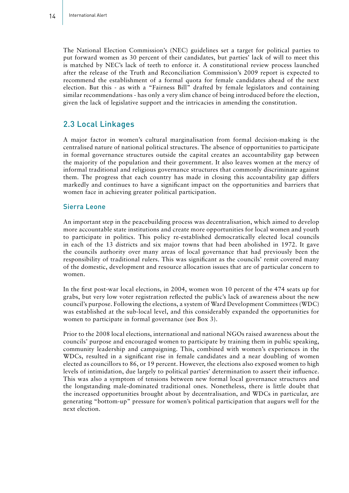The National Election Commission's (NEC) guidelines set a target for political parties to put forward women as 30 percent of their candidates, but parties' lack of will to meet this is matched by NEC's lack of teeth to enforce it. A constitutional review process launched after the release of the Truth and Reconciliation Commission's 2009 report is expected to recommend the establishment of a formal quota for female candidates ahead of the next election. But this - as with a "Fairness Bill" drafted by female legislators and containing similar recommendations - has only a very slim chance of being introduced before the election, given the lack of legislative support and the intricacies in amending the constitution.

#### 2.3 Local Linkages

A major factor in women's cultural marginalisation from formal decision-making is the centralised nature of national political structures. The absence of opportunities to participate in formal governance structures outside the capital creates an accountability gap between the majority of the population and their government. It also leaves women at the mercy of informal traditional and religious governance structures that commonly discriminate against them. The progress that each country has made in closing this accountability gap differs markedly and continues to have a significant impact on the opportunities and barriers that women face in achieving greater political participation.

#### Sierra Leone

An important step in the peacebuilding process was decentralisation, which aimed to develop more accountable state institutions and create more opportunities for local women and youth to participate in politics. This policy re-established democratically elected local councils in each of the 13 districts and six major towns that had been abolished in 1972. It gave the councils authority over many areas of local governance that had previously been the responsibility of traditional rulers. This was significant as the councils' remit covered many of the domestic, development and resource allocation issues that are of particular concern to women.

In the first post-war local elections, in 2004, women won 10 percent of the 474 seats up for grabs, but very low voter registration reflected the public's lack of awareness about the new council's purpose. Following the elections, a system of Ward Development Committees (WDC) was established at the sub-local level, and this considerably expanded the opportunities for women to participate in formal governance (see Box 3).

Prior to the 2008 local elections, international and national NGOs raised awareness about the councils' purpose and encouraged women to participate by training them in public speaking, community leadership and campaigning. This, combined with women's experiences in the WDCs, resulted in a significant rise in female candidates and a near doubling of women elected as councillors to 86, or 19 percent. However, the elections also exposed women to high levels of intimidation, due largely to political parties' determination to assert their influence. This was also a symptom of tensions between new formal local governance structures and the longstanding male-dominated traditional ones. Nonetheless, there is little doubt that the increased opportunities brought about by decentralisation, and WDCs in particular, are generating "bottom-up" pressure for women's political participation that augurs well for the next election.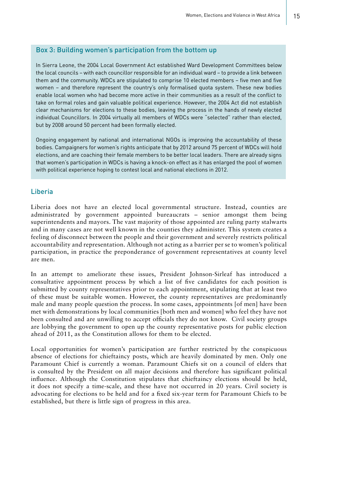#### Box 3: Building women's participation from the bottom up

In Sierra Leone, the 2004 Local Government Act established Ward Development Committees below the local councils – with each councillor responsible for an individual ward – to provide a link between them and the community. WDCs are stipulated to comprise 10 elected members – five men and five women – and therefore represent the country's only formalised quota system. These new bodies enable local women who had become more active in their communities as a result of the conflict to take on formal roles and gain valuable political experience. However, the 2004 Act did not establish clear mechanisms for elections to these bodies, leaving the process in the hands of newly elected individual Councillors. In 2004 virtually all members of WDCs were "selected" rather than elected, but by 2008 around 50 percent had been formally elected.

Ongoing engagement by national and international NGOs is improving the accountability of these bodies. Campaigners for women's rights anticipate that by 2012 around 75 percent of WDCs will hold elections, and are coaching their female members to be better local leaders. There are already signs that women's participation in WDCs is having a knock-on effect as it has enlarged the pool of women with political experience hoping to contest local and national elections in 2012.

#### Liberia

Liberia does not have an elected local governmental structure. Instead, counties are administrated by government appointed bureaucrats – senior amongst them being superintendents and mayors. The vast majority of those appointed are ruling party stalwarts and in many cases are not well known in the counties they administer. This system creates a feeling of disconnect between the people and their government and severely restricts political accountability and representation. Although not acting as a barrier per se to women's political participation, in practice the preponderance of government representatives at county level are men.

In an attempt to ameliorate these issues, President Johnson-Sirleaf has introduced a consultative appointment process by which a list of five candidates for each position is submitted by county representatives prior to each appointment, stipulating that at least two of these must be suitable women. However, the county representatives are predominantly male and many people question the process. In some cases, appointments [of men] have been met with demonstrations by local communities [both men and women] who feel they have not been consulted and are unwilling to accept officials they do not know. Civil society groups are lobbying the government to open up the county representative posts for public election ahead of 2011, as the Constitution allows for them to be elected.

Local opportunities for women's participation are further restricted by the conspicuous absence of elections for chieftaincy posts, which are heavily dominated by men. Only one Paramount Chief is currently a woman. Paramount Chiefs sit on a council of elders that is consulted by the President on all major decisions and therefore has significant political influence. Although the Constitution stipulates that chieftaincy elections should be held, it does not specify a time-scale, and these have not occurred in 20 years. Civil society is advocating for elections to be held and for a fixed six-year term for Paramount Chiefs to be established, but there is little sign of progress in this area.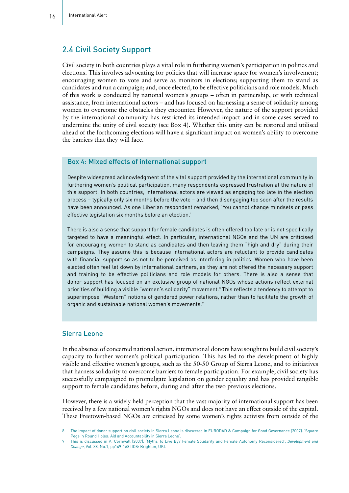#### 2.4 Civil Society Support

Civil society in both countries plays a vital role in furthering women's participation in politics and elections. This involves advocating for policies that will increase space for women's involvement; encouraging women to vote and serve as monitors in elections; supporting them to stand as candidates and run a campaign; and, once elected, to be effective politicians and role models. Much of this work is conducted by national women's groups – often in partnership, or with technical assistance, from international actors – and has focused on harnessing a sense of solidarity among women to overcome the obstacles they encounter. However, the nature of the support provided by the international community has restricted its intended impact and in some cases served to undermine the unity of civil society (see Box 4). Whether this unity can be restored and utilised ahead of the forthcoming elections will have a significant impact on women's ability to overcome the barriers that they will face.

#### Box 4: Mixed effects of international support

Despite widespread acknowledgment of the vital support provided by the international community in furthering women's political participation, many respondents expressed frustration at the nature of this support. In both countries, international actors are viewed as engaging too late in the election process – typically only six months before the vote – and then disengaging too soon after the results have been announced. As one Liberian respondent remarked, 'You cannot change mindsets or pass effective legislation six months before an election.'

There is also a sense that support for female candidates is often offered too late or is not specifically targeted to have a meaningful effect. In particular, international NGOs and the UN are criticised for encouraging women to stand as candidates and then leaving them "high and dry" during their campaigns. They assume this is because international actors are reluctant to provide candidates with financial support so as not to be perceived as interfering in politics. Women who have been elected often feel let down by international partners, as they are not offered the necessary support and training to be effective politicians and role models for others. There is also a sense that donor support has focused on an exclusive group of national NGOs whose actions reflect external priorities of building a visible "women's solidarity" movement.<sup>8</sup> This reflects a tendency to attempt to superimpose "Western" notions of gendered power relations, rather than to facilitate the growth of organic and sustainable national women's movements.<sup>9</sup>

#### Sierra Leone

In the absence of concerted national action, international donors have sought to build civil society's capacity to further women's political participation. This has led to the development of highly visible and effective women's groups, such as the 50-50 Group of Sierra Leone, and to initiatives that harness solidarity to overcome barriers to female participation. For example, civil society has successfully campaigned to promulgate legislation on gender equality and has provided tangible support to female candidates before, during and after the two previous elections.

However, there is a widely held perception that the vast majority of international support has been received by a few national women's rights NGOs and does not have an effect outside of the capital. These Freetown-based NGOs are criticised by some women's rights activists from outside of the

<sup>8</sup> The impact of donor support on civil society in Sierra Leone is discussed in EURODAD & Campaign for Good Governance (2007). 'Square Pegs in Round Holes: Aid and Accountability in Sierra Leone

<sup>9</sup> This is discussed in A. Cornwall (2007). 'Myths To Live By? Female Solidarity and Female Autonomy Reconsidered', *Development and Change*, Vol. 38, No.1, pp149-168 (IDS: Brighton, UK).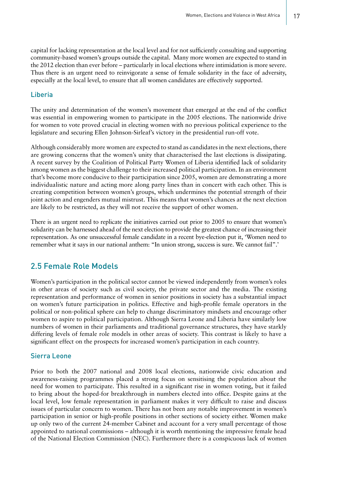capital for lacking representation at the local level and for not sufficiently consulting and supporting community-based women's groups outside the capital. Many more women are expected to stand in the 2012 election than ever before – particularly in local elections where intimidation is more severe. Thus there is an urgent need to reinvigorate a sense of female solidarity in the face of adversity, especially at the local level, to ensure that all women candidates are effectively supported.

#### Liberia

The unity and determination of the women's movement that emerged at the end of the conflict was essential in empowering women to participate in the 2005 elections. The nationwide drive for women to vote proved crucial in electing women with no previous political experience to the legislature and securing Ellen Johnson-Sirleaf's victory in the presidential run-off vote.

Although considerably more women are expected to stand as candidates in the next elections, there are growing concerns that the women's unity that characterised the last elections is dissipating. A recent survey by the Coalition of Political Party Women of Liberia identified lack of solidarity among women as the biggest challenge to their increased political participation. In an environment that's become more conducive to their participation since 2005, women are demonstrating a more individualistic nature and acting more along party lines than in concert with each other. This is creating competition between women's groups, which undermines the potential strength of their joint action and engenders mutual mistrust. This means that women's chances at the next election are likely to be restricted, as they will not receive the support of other women.

There is an urgent need to replicate the initiatives carried out prior to 2005 to ensure that women's solidarity can be harnessed ahead of the next election to provide the greatest chance of increasing their representation. As one unsuccessful female candidate in a recent bye-election put it, 'Women need to remember what it says in our national anthem: "In union strong, success is sure. We cannot fail".'

#### 2.5 Female Role Models

Women's participation in the political sector cannot be viewed independently from women's roles in other areas of society such as civil society, the private sector and the media. The existing representation and performance of women in senior positions in society has a substantial impact on women's future participation in politics. Effective and high-profile female operators in the political or non-political sphere can help to change discriminatory mindsets and encourage other women to aspire to political participation. Although Sierra Leone and Liberia have similarly low numbers of women in their parliaments and traditional governance structures, they have starkly differing levels of female role models in other areas of society. This contrast is likely to have a significant effect on the prospects for increased women's participation in each country.

#### Sierra Leone

Prior to both the 2007 national and 2008 local elections, nationwide civic education and awareness-raising programmes placed a strong focus on sensitising the population about the need for women to participate. This resulted in a significant rise in women voting, but it failed to bring about the hoped-for breakthrough in numbers elected into office. Despite gains at the local level, low female representation in parliament makes it very difficult to raise and discuss issues of particular concern to women. There has not been any notable improvement in women's participation in senior or high-profile positions in other sections of society either. Women make up only two of the current 24-member Cabinet and account for a very small percentage of those appointed to national commissions – although it is worth mentioning the impressive female head of the National Election Commission (NEC). Furthermore there is a conspicuous lack of women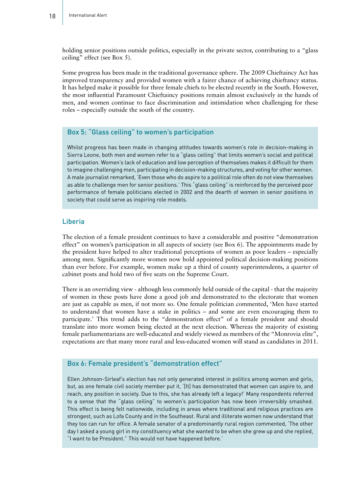holding senior positions outside politics, especially in the private sector, contributing to a "glass ceiling" effect (see Box 5).

Some progress has been made in the traditional governance sphere. The 2009 Chieftaincy Act has improved transparency and provided women with a fairer chance of achieving chieftancy status. It has helped make it possible for three female chiefs to be elected recently in the South. However, the most influential Paramount Chieftaincy positions remain almost exclusively in the hands of men, and women continue to face discrimination and intimidation when challenging for these roles – especially outside the south of the country.

#### Box 5: "Glass ceiling" to women's participation

Whilst progress has been made in changing attitudes towards women's role in decision-making in Sierra Leone, both men and women refer to a "glass ceiling" that limits women's social and political participation. Women's lack of education and low perception of themselves makes it difficult for them to imagine challenging men, participating in decision-making structures, and voting for other women. A male journalist remarked, 'Even those who do aspire to a political role often do not view themselves as able to challenge men for senior positions.' This "glass ceiling" is reinforced by the perceived poor performance of female politicians elected in 2002 and the dearth of women in senior positions in society that could serve as inspiring role models.

#### Liberia

The election of a female president continues to have a considerable and positive "demonstration effect" on women's participation in all aspects of society (see Box  $6$ ). The appointments made by the president have helped to alter traditional perceptions of women as poor leaders – especially among men. Significantly more women now hold appointed political decision-making positions than ever before. For example, women make up a third of county superintendents, a quarter of cabinet posts and hold two of five seats on the Supreme Court.

There is an overriding view - although less commonly held outside of the capital - that the majority of women in these posts have done a good job and demonstrated to the electorate that women are just as capable as men, if not more so. One female politician commented, 'Men have started to understand that women have a stake in politics – and some are even encouraging them to participate.' This trend adds to the "demonstration effect" of a female president and should translate into more women being elected at the next election. Whereas the majority of existing female parliamentarians are well-educated and widely viewed as members of the "Monrovia elite", expectations are that many more rural and less-educated women will stand as candidates in 2011.

#### Box 6: Female president's "demonstration effect"

Ellen Johnson-Sirleaf's election has not only generated interest in politics among women and girls, but, as one female civil society member put it, '[It] has demonstrated that women can aspire to, and reach, any position in society. Due to this, she has already left a legacy!' Many respondents referred to a sense that the "glass ceiling" to women's participation has now been irreversibly smashed. This effect is being felt nationwide, including in areas where traditional and religious practices are strongest, such as Lofa County and in the Southeast. Rural and illiterate women now understand that they too can run for office. A female senator of a predominantly rural region commented, 'The other day I asked a young girl in my constituency what she wanted to be when she grew up and she replied, "I want to be President." This would not have happened before.'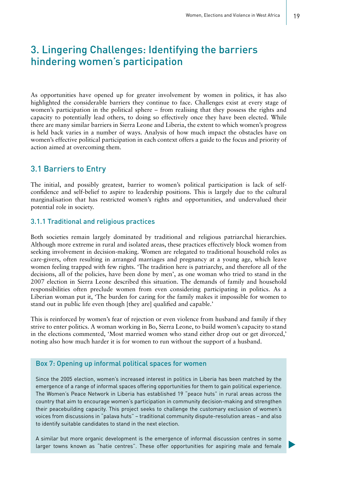# 3. Lingering Challenges: Identifying the barriers hindering women's participation

As opportunities have opened up for greater involvement by women in politics, it has also highlighted the considerable barriers they continue to face. Challenges exist at every stage of women's participation in the political sphere – from realising that they possess the rights and capacity to potentially lead others, to doing so effectively once they have been elected. While there are many similar barriers in Sierra Leone and Liberia, the extent to which women's progress is held back varies in a number of ways. Analysis of how much impact the obstacles have on women's effective political participation in each context offers a guide to the focus and priority of action aimed at overcoming them.

#### 3.1 Barriers to Entry

The initial, and possibly greatest, barrier to women's political participation is lack of selfconfidence and self-belief to aspire to leadership positions. This is largely due to the cultural marginalisation that has restricted women's rights and opportunities, and undervalued their potential role in society.

#### 3.1.1 Traditional and religious practices

Both societies remain largely dominated by traditional and religious patriarchal hierarchies. Although more extreme in rural and isolated areas, these practices effectively block women from seeking involvement in decision-making. Women are relegated to traditional household roles as care-givers, often resulting in arranged marriages and pregnancy at a young age, which leave women feeling trapped with few rights. 'The tradition here is patriarchy, and therefore all of the decisions, all of the policies, have been done by men', as one woman who tried to stand in the 2007 election in Sierra Leone described this situation. The demands of family and household responsibilities often preclude women from even considering participating in politics. As a Liberian woman put it, 'The burden for caring for the family makes it impossible for women to stand out in public life even though [they are] qualified and capable.'

This is reinforced by women's fear of rejection or even violence from husband and family if they strive to enter politics. A woman working in Bo, Sierra Leone, to build women's capacity to stand in the elections commented, 'Most married women who stand either drop out or get divorced,' noting also how much harder it is for women to run without the support of a husband.

#### Box 7: Opening up informal political spaces for women

Since the 2005 election, women's increased interest in politics in Liberia has been matched by the emergence of a range of informal spaces offering opportunities for them to gain political experience. The Women's Peace Network in Liberia has established 19 "peace huts" in rural areas across the country that aim to encourage women's participation in community decision-making and strengthen their peacebuilding capacity. This project seeks to challenge the customary exclusion of women's voices from discussions in "palava huts" – traditional community dispute-resolution areas – and also to identify suitable candidates to stand in the next election.

A similar but more organic development is the emergence of informal discussion centres in some larger towns known as "hatie centres". These offer opportunities for aspiring male and female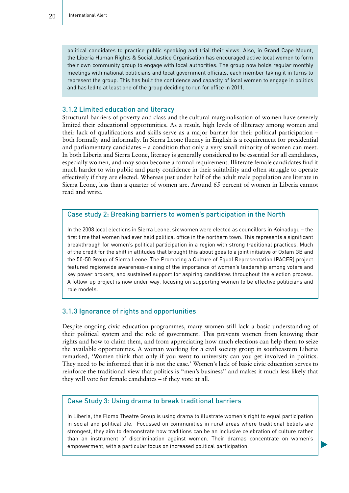political candidates to practice public speaking and trial their views. Also, in Grand Cape Mount, the Liberia Human Rights & Social Justice Organisation has encouraged active local women to form their own community group to engage with local authorities. The group now holds regular monthly meetings with national politicians and local government officials, each member taking it in turns to represent the group. This has built the confidence and capacity of local women to engage in politics and has led to at least one of the group deciding to run for office in 2011.

#### 3.1.2 Limited education and literacy

Structural barriers of poverty and class and the cultural marginalisation of women have severely limited their educational opportunities. As a result, high levels of illiteracy among women and their lack of qualifications and skills serve as a major barrier for their political participation – both formally and informally. In Sierra Leone fluency in English is a requirement for presidential and parliamentary candidates – a condition that only a very small minority of women can meet. In both Liberia and Sierra Leone, literacy is generally considered to be essential for all candidates, especially women, and may soon become a formal requirement. Illiterate female candidates find it much harder to win public and party confidence in their suitability and often struggle to operate effectively if they are elected. Whereas just under half of the adult male population are literate in Sierra Leone, less than a quarter of women are. Around 65 percent of women in Liberia cannot read and write.

#### Case study 2: Breaking barriers to women's participation in the North

In the 2008 local elections in Sierra Leone, six women were elected as councillors in Koinadugu – the first time that women had ever held political office in the northern town. This represents a significant breakthrough for women's political participation in a region with strong traditional practices. Much of the credit for the shift in attitudes that brought this about goes to a joint initiative of Oxfam GB and the 50-50 Group of Sierra Leone. The Promoting a Culture of Equal Representation (PACER) project featured regionwide awareness-raising of the importance of women's leadership among voters and key power brokers, and sustained support for aspiring candidates throughout the election process. A follow-up project is now under way, focusing on supporting women to be effective politicians and role models.

#### 3.1.3 Ignorance of rights and opportunities

Despite ongoing civic education programmes, many women still lack a basic understanding of their political system and the role of government. This prevents women from knowing their rights and how to claim them, and from appreciating how much elections can help them to seize the available opportunities. A woman working for a civil society group in southeastern Liberia remarked, 'Women think that only if you went to university can you get involved in politics. They need to be informed that it is not the case.' Women's lack of basic civic education serves to reinforce the traditional view that politics is "men's business" and makes it much less likely that they will vote for female candidates – if they vote at all.

#### Case Study 3: Using drama to break traditional barriers

In Liberia, the Flomo Theatre Group is using drama to illustrate women's right to equal participation in social and political life. Focussed on communities in rural areas where traditional beliefs are strongest, they aim to demonstrate how traditions can be an inclusive celebration of culture rather than an instrument of discrimination against women. Their dramas concentrate on women's empowerment, with a particular focus on increased political participation.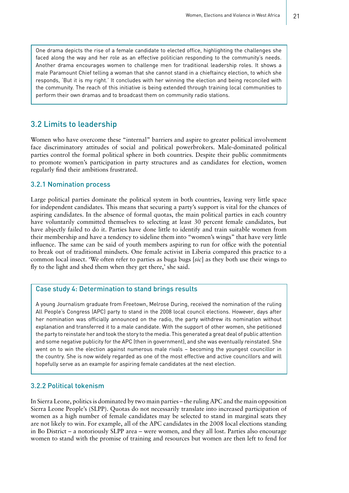One drama depicts the rise of a female candidate to elected office, highlighting the challenges she faced along the way and her role as an effective politician responding to the community's needs. Another drama encourages women to challenge men for traditional leadership roles. It shows a male Paramount Chief telling a woman that she cannot stand in a chieftaincy election, to which she responds, 'But it is my right.' It concludes with her winning the election and being reconciled with the community. The reach of this initiative is being extended through training local communities to perform their own dramas and to broadcast them on community radio stations.

#### 3.2 Limits to leadership

Women who have overcome these "internal" barriers and aspire to greater political involvement face discriminatory attitudes of social and political powerbrokers. Male-dominated political parties control the formal political sphere in both countries. Despite their public commitments to promote women's participation in party structures and as candidates for election, women regularly find their ambitions frustrated.

#### 3.2.1 Nomination process

Large political parties dominate the political system in both countries, leaving very little space for independent candidates. This means that securing a party's support is vital for the chances of aspiring candidates. In the absence of formal quotas, the main political parties in each country have voluntarily committed themselves to selecting at least 30 percent female candidates, but have abjectly failed to do it. Parties have done little to identify and train suitable women from their membership and have a tendency to sideline them into "women's wings" that have very little influence. The same can be said of youth members aspiring to run for office with the potential to break out of traditional mindsets. One female activist in Liberia compared this practice to a common local insect. 'We often refer to parties as buga bugs [*sic*] as they both use their wings to fly to the light and shed them when they get there,' she said.

#### Case study 4: Determination to stand brings results

A young Journalism graduate from Freetown, Melrose During, received the nomination of the ruling All People's Congress (APC) party to stand in the 2008 local council elections. However, days after her nomination was officially announced on the radio, the party withdrew its nomination without explanation and transferred it to a male candidate. With the support of other women, she petitioned the party to reinstate her and took the story to the media. This generated a great deal of public attention and some negative publicity for the APC (then in government), and she was eventually reinstated. She went on to win the election against numerous male rivals – becoming the youngest councillor in the country. She is now widely regarded as one of the most effective and active councillors and will hopefully serve as an example for aspiring female candidates at the next election.

#### 3.2.2 Political tokenism

In Sierra Leone, politics is dominated by two main parties – the ruling APC and the main opposition Sierra Leone People's (SLPP). Quotas do not necessarily translate into increased participation of women as a high number of female candidates may be selected to stand in marginal seats they are not likely to win. For example, all of the APC candidates in the 2008 local elections standing in Bo District – a notoriously SLPP area – were women, and they all lost. Parties also encourage women to stand with the promise of training and resources but women are then left to fend for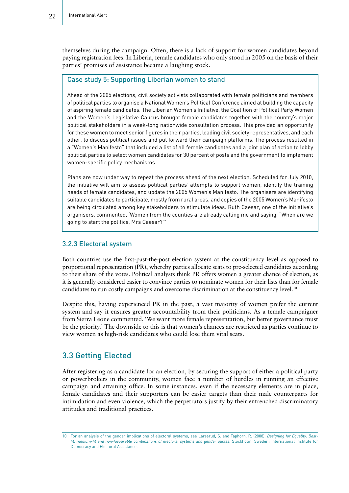themselves during the campaign. Often, there is a lack of support for women candidates beyond paying registration fees. In Liberia, female candidates who only stood in 2005 on the basis of their parties' promises of assistance became a laughing stock.

#### Case study 5: Supporting Liberian women to stand

Ahead of the 2005 elections, civil society activists collaborated with female politicians and members of political parties to organise a National Women's Political Conference aimed at building the capacity of aspiring female candidates. The Liberian Women's Initiative, the Coalition of Political Party Women and the Women's Legislative Caucus brought female candidates together with the country's major political stakeholders in a week-long nationwide consultation process. This provided an opportunity for these women to meet senior figures in their parties, leading civil society representatives, and each other, to discuss political issues and put forward their campaign platforms. The process resulted in a "Women's Manifesto" that included a list of all female candidates and a joint plan of action to lobby political parties to select women candidates for 30 percent of posts and the government to implement women-specific policy mechanisms.

Plans are now under way to repeat the process ahead of the next election. Scheduled for July 2010, the initiative will aim to assess political parties' attempts to support women, identify the training needs of female candidates, and update the 2005 Women's Manifesto. The organisers are identifying suitable candidates to participate, mostly from rural areas, and copies of the 2005 Women's Manifesto are being circulated among key stakeholders to stimulate ideas. Ruth Caesar, one of the initiative's organisers, commented, 'Women from the counties are already calling me and saying, "When are we going to start the politics, Mrs Caesar?"'

#### 3.2.3 Electoral system

Both countries use the first-past-the-post election system at the constituency level as opposed to proportional representation (PR), whereby parties allocate seats to pre-selected candidates according to their share of the votes. Political analysts think PR offers women a greater chance of election, as it is generally considered easier to convince parties to nominate women for their lists than for female candidates to run costly campaigns and overcome discrimination at the constituency level.10

Despite this, having experienced PR in the past, a vast majority of women prefer the current system and say it ensures greater accountability from their politicians. As a female campaigner from Sierra Leone commented, 'We want more female representation, but better governance must be the priority.' The downside to this is that women's chances are restricted as parties continue to view women as high-risk candidates who could lose them vital seats.

#### 3.3 Getting Elected

After registering as a candidate for an election, by securing the support of either a political party or powerbrokers in the community, women face a number of hurdles in running an effective campaign and attaining office. In some instances, even if the necessary elements are in place, female candidates and their supporters can be easier targets than their male counterparts for intimidation and even violence, which the perpetrators justify by their entrenched discriminatory attitudes and traditional practices.

<sup>10</sup> For an analysis of the gender implications of electoral systems, see Larserud, S. and Taphorn, R. (2008). *Designing for Equality: Bestfit, medium-fit and non-favourable combinations of electoral systems and gender quotas.* Stockholm, Sweden: International Institute for Democracy and Electoral Assistance.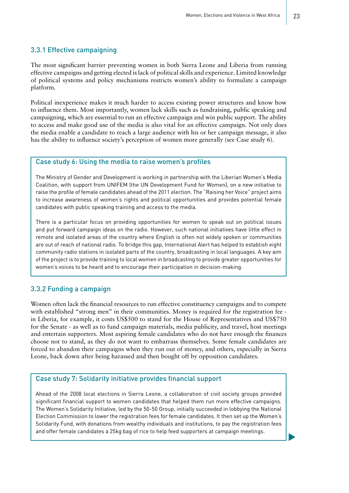#### 3.3.1 Effective campaigning

The most significant barrier preventing women in both Sierra Leone and Liberia from running effective campaigns and getting elected is lack of political skills and experience. Limited knowledge of political systems and policy mechanisms restricts women's ability to formulate a campaign platform.

Political inexperience makes it much harder to access existing power structures and know how to influence them. Most importantly, women lack skills such as fundraising, public speaking and campaigning, which are essential to run an effective campaign and win public support. The ability to access and make good use of the media is also vital for an effective campaign. Not only does the media enable a candidate to reach a large audience with his or her campaign message, it also has the ability to influence society's perception of women more generally (see Case study 6).

#### Case study 6: Using the media to raise women's profiles

The Ministry of Gender and Development is working in partnership with the Liberian Women's Media Coalition, with support from UNIFEM (the UN Development Fund for Women), on a new initiative to raise the profile of female candidates ahead of the 2011 election. The "Raising her Voice" project aims to increase awareness of women's rights and political opportunities and provides potential female candidates with public speaking training and access to the media.

There is a particular focus on providing opportunities for women to speak out on political issues and put forward campaign ideas on the radio. However, such national initiatives have little effect in remote and isolated areas of the country where English is often not widely spoken or communities are out of reach of national radio. To bridge this gap, International Alert has helped to establish eight community radio stations in isolated parts of the country, broadcasting in local languages. A key aim of the project is to provide training to local women in broadcasting to provide greater opportunities for women's voices to be heard and to encourage their participation in decision-making.

#### 3.3.2 Funding a campaign

Women often lack the financial resources to run effective constituency campaigns and to compete with established "strong men" in their communities. Money is required for the registration fee in Liberia, for example, it costs US\$500 to stand for the House of Representatives and US\$750 for the Senate - as well as to fund campaign materials, media publicity, and travel, host meetings and entertain supporters. Most aspiring female candidates who do not have enough the finances choose not to stand, as they do not want to embarrass themselves. Some female candidates are forced to abandon their campaigns when they run out of money, and others, especially in Sierra Leone, back down after being harassed and then bought off by opposition candidates.

#### Case study 7: Solidarity initiative provides financial support

Ahead of the 2008 local elections in Sierra Leone, a collaboration of civil society groups provided significant financial support to women candidates that helped them run more effective campaigns. The Women's Solidarity Initiative, led by the 50-50 Group, initially succeeded in lobbying the National Election Commission to lower the registration fees for female candidates. It then set up the Women's Solidarity Fund, with donations from wealthy individuals and institutions, to pay the registration fees and offer female candidates a 25kg bag of rice to help feed supporters at campaign meetings.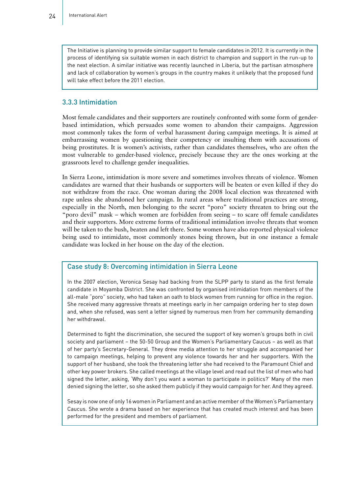The Initiative is planning to provide similar support to female candidates in 2012. It is currently in the process of identifying six suitable women in each district to champion and support in the run-up to the next election. A similar initiative was recently launched in Liberia, but the partisan atmosphere and lack of collaboration by women's groups in the country makes it unlikely that the proposed fund will take effect before the 2011 election.

#### 3.3.3 Intimidation

Most female candidates and their supporters are routinely confronted with some form of genderbased intimidation, which persuades some women to abandon their campaigns. Aggression most commonly takes the form of verbal harassment during campaign meetings. It is aimed at embarrassing women by questioning their competency or insulting them with accusations of being prostitutes. It is women's activists, rather than candidates themselves, who are often the most vulnerable to gender-based violence, precisely because they are the ones working at the grassroots level to challenge gender inequalities.

In Sierra Leone, intimidation is more severe and sometimes involves threats of violence. Women candidates are warned that their husbands or supporters will be beaten or even killed if they do not withdraw from the race. One woman during the 2008 local election was threatened with rape unless she abandoned her campaign. In rural areas where traditional practices are strong, especially in the North, men belonging to the secret "poro" society threaten to bring out the "poro devil" mask – which women are forbidden from seeing – to scare off female candidates and their supporters. More extreme forms of traditional intimidation involve threats that women will be taken to the bush, beaten and left there. Some women have also reported physical violence being used to intimidate, most commonly stones being thrown, but in one instance a female candidate was locked in her house on the day of the election.

#### Case study 8: Overcoming intimidation in Sierra Leone

In the 2007 election, Veronica Sesay had backing from the SLPP party to stand as the first female candidate in Moyamba District. She was confronted by organised intimidation from members of the all-male "poro" society, who had taken an oath to block women from running for office in the region. She received many aggressive threats at meetings early in her campaign ordering her to step down and, when she refused, was sent a letter signed by numerous men from her community demanding her withdrawal.

Determined to fight the discrimination, she secured the support of key women's groups both in civil society and parliament – the 50-50 Group and the Women's Parliamentary Caucus – as well as that of her party's Secretary-General. They drew media attention to her struggle and accompanied her to campaign meetings, helping to prevent any violence towards her and her supporters. With the support of her husband, she took the threatening letter she had received to the Paramount Chief and other key power brokers. She called meetings at the village level and read out the list of men who had signed the letter, asking, 'Why don't you want a woman to participate in politics?' Many of the men denied signing the letter, so she asked them publicly if they would campaign for her. And they agreed.

Sesay is now one of only 16 women in Parliament and an active member of the Women's Parliamentary Caucus. She wrote a drama based on her experience that has created much interest and has been performed for the president and members of parliament.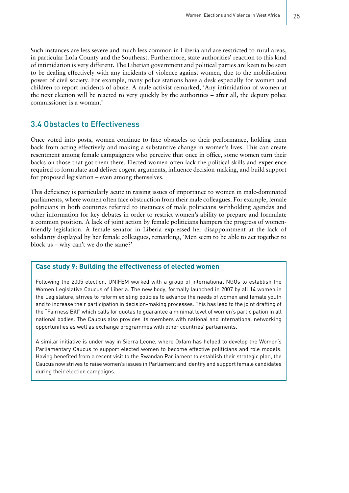Such instances are less severe and much less common in Liberia and are restricted to rural areas, in particular Lofa County and the Southeast. Furthermore, state authorities' reaction to this kind of intimidation is very different. The Liberian government and political parties are keen to be seen to be dealing effectively with any incidents of violence against women, due to the mobilisation power of civil society. For example, many police stations have a desk especially for women and children to report incidents of abuse. A male activist remarked, 'Any intimidation of women at the next election will be reacted to very quickly by the authorities – after all, the deputy police commissioner is a woman.'

#### 3.4 Obstacles to Effectiveness

Once voted into posts, women continue to face obstacles to their performance, holding them back from acting effectively and making a substantive change in women's lives. This can create resentment among female campaigners who perceive that once in office, some women turn their backs on those that got them there. Elected women often lack the political skills and experience required to formulate and deliver cogent arguments, influence decision-making, and build support for proposed legislation – even among themselves.

This deficiency is particularly acute in raising issues of importance to women in male-dominated parliaments, where women often face obstruction from their male colleagues. For example, female politicians in both countries referred to instances of male politicians withholding agendas and other information for key debates in order to restrict women's ability to prepare and formulate a common position. A lack of joint action by female politicians hampers the progress of womenfriendly legislation. A female senator in Liberia expressed her disappointment at the lack of solidarity displayed by her female colleagues, remarking, 'Men seem to be able to act together to block us – why can't we do the same?'

#### **Case study 9: Building the effectiveness of elected women**

Following the 2005 election, UNIFEM worked with a group of international NGOs to establish the Women Legislative Caucus of Liberia. The new body, formally launched in 2007 by all 14 women in the Legislature, strives to reform existing policies to advance the needs of women and female youth and to increase their participation in decision-making processes. This has lead to the joint drafting of the "Fairness Bill" which calls for quotas to guarantee a minimal level of women's participation in all national bodies. The Caucus also provides its members with national and international networking opportunities as well as exchange programmes with other countries' parliaments.

A similar initiative is under way in Sierra Leone, where Oxfam has helped to develop the Women's Parliamentary Caucus to support elected women to become effective politicians and role models. Having benefited from a recent visit to the Rwandan Parliament to establish their strategic plan, the Caucus now strives to raise women's issues in Parliament and identify and support female candidates during their election campaigns.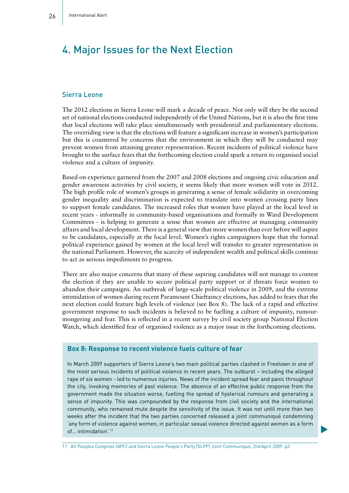# 4. Major Issues for the Next Election

#### Sierra Leone

The 2012 elections in Sierra Leone will mark a decade of peace. Not only will they be the second set of national elections conducted independently of the United Nations, but it is also the first time that local elections will take place simultaneously with presidential and parliamentary elections. The overriding view is that the elections will feature a significant increase in women's participation but this is countered by concerns that the environment in which they will be conducted may prevent women from attaining greater representation. Recent incidents of political violence have brought to the surface fears that the forthcoming election could spark a return to organised social violence and a culture of impunity.

Based on experience garnered from the 2007 and 2008 elections and ongoing civic education and gender awareness activities by civil society, it seems likely that more women will vote in 2012. The high profile role of women's groups in generating a sense of female solidarity in overcoming gender inequality and discrimination is expected to translate into women crossing party lines to support female candidates. The increased roles that women have played at the local level in recent years - informally in community-based organisations and formally in Ward Development Committees - is helping to generate a sense that women are effective at managing community affairs and local development. There is a general view that more women than ever before will aspire to be candidates, especially at the local level. Women's rights campaigners hope that the formal political experience gained by women at the local level will transfer to greater representation in the national Parliament. However, the scarcity of independent wealth and political skills continue to act as serious impediments to progress.

There are also major concerns that many of these aspiring candidates will not manage to contest the election if they are unable to secure political party support or if threats force women to abandon their campaigns. An outbreak of large-scale political violence in 2009, and the extreme intimidation of women during recent Paramount Chieftaincy elections, has added to fears that the next election could feature high levels of violence (see Box 8). The lack of a rapid and effective government response to such incidents is believed to be fuelling a culture of impunity, rumourmongering and fear. This is reflected in a recent survey by civil society group National Election Watch, which identified fear of organised violence as a major issue in the forthcoming elections.

#### **Box 8: Response to recent violence fuels culture of fear**

In March 2009 supporters of Sierra Leone's two main political parties clashed in Freetown in one of the most serious incidents of political violence in recent years. The outburst – including the alleged rape of six women - led to numerous injuries. News of the incident spread fear and panic throughout the city, invoking memories of past violence. The absence of an effective public response from the government made the situation worse, fuelling the spread of hysterical rumours and generating a sense of impunity. This was compounded by the response from civil society and the international community, who remained mute despite the sensitivity of the issue. It was not until more than two weeks after the incident that the two parties concerned released a joint communiqué condemning 'any form of violence against women, in particular sexual violence directed against women as a form of... intimidation'.11

11 All Peoples Congress (APC) and Sierra Leone People's Party (SLPP) Joint Communiqué, 2ndApril 2009. p2.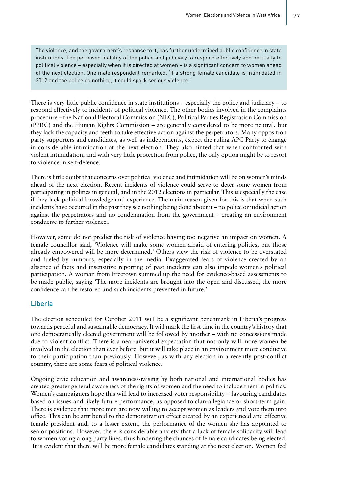The violence, and the government's response to it, has further undermined public confidence in state institutions. The perceived inability of the police and judiciary to respond effectively and neutrally to political violence – especially when it is directed at women – is a significant concern to women ahead of the next election. One male respondent remarked, 'If a strong female candidate is intimidated in 2012 and the police do nothing, it could spark serious violence.'

There is very little public confidence in state institutions – especially the police and judiciary – to respond effectively to incidents of political violence. The other bodies involved in the complaints procedure – the National Electoral Commission (NEC), Political Parties Registration Commission (PPRC) and the Human Rights Commission – are generally considered to be more neutral, but they lack the capacity and teeth to take effective action against the perpetrators. Many opposition party supporters and candidates, as well as independents, expect the ruling APC Party to engage in considerable intimidation at the next election. They also hinted that when confronted with violent intimidation, and with very little protection from police, the only option might be to resort to violence in self-defence.

There is little doubt that concerns over political violence and intimidation will be on women's minds ahead of the next election. Recent incidents of violence could serve to deter some women from participating in politics in general, and in the 2012 elections in particular. This is especially the case if they lack political knowledge and experience. The main reason given for this is that when such incidents have occurred in the past they see nothing being done about it – no police or judicial action against the perpetrators and no condemnation from the government – creating an environment conducive to further violence..

However, some do not predict the risk of violence having too negative an impact on women. A female councillor said, 'Violence will make some women afraid of entering politics, but those already empowered will be more determined.' Others view the risk of violence to be overstated and fueled by rumours, especially in the media. Exaggerated fears of violence created by an absence of facts and insensitive reporting of past incidents can also impede women's political participation. A woman from Freetown summed up the need for evidence-based assessments to be made public, saying 'The more incidents are brought into the open and discussed, the more confidence can be restored and such incidents prevented in future.'

#### Liberia

The election scheduled for October 2011 will be a significant benchmark in Liberia's progress towards peaceful and sustainable democracy. It will mark the first time in the country's history that one democratically elected government will be followed by another – with no concessions made due to violent conflict. There is a near-universal expectation that not only will more women be involved in the election than ever before, but it will take place in an environment more conducive to their participation than previously. However, as with any election in a recently post-conflict country, there are some fears of political violence.

Ongoing civic education and awareness-raising by both national and international bodies has created greater general awareness of the rights of women and the need to include them in politics. Women's campaigners hope this will lead to increased voter responsibility – favouring candidates based on issues and likely future performance, as opposed to clan-allegiance or short-term gain. There is evidence that more men are now willing to accept women as leaders and vote them into office. This can be attributed to the demonstration effect created by an experienced and effective female president and, to a lesser extent, the performance of the women she has appointed to senior positions. However, there is considerable anxiety that a lack of female solidarity will lead to women voting along party lines, thus hindering the chances of female candidates being elected. It is evident that there will be more female candidates standing at the next election. Women feel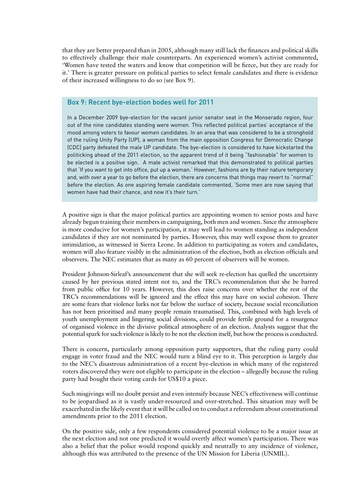that they are better prepared than in 2005, although many still lack the finances and political skills to effectively challenge their male counterparts. An experienced women's activist commented, 'Women have tested the waters and know that competition will be fierce, but they are ready for it.' There is greater pressure on political parties to select female candidates and there is evidence of their increased willingness to do so (see Box 9).

#### Box 9: Recent bye-election bodes well for 2011

In a December 2009 bye-election for the vacant junior senator seat in the Monserado region, four out of the nine candidates standing were women. This reflected political parties' acceptance of the mood among voters to favour women candidates. In an area that was considered to be a stronghold of the ruling Unity Party (UP), a woman from the main opposition Congress for Democratic Change (CDC) party defeated the male UP candidate. The bye-election is considered to have kickstarted the politicking ahead of the 2011 election, so the apparent trend of it being "fashionable" for women to be elected is a positive sign. A male activist remarked that this demonstrated to political parties that 'If you want to get into office, put up a woman.' However, fashions are by their nature temporary and, with over a year to go before the election, there are concerns that things may revert to "normal" before the election. As one aspiring female candidate commented, 'Some men are now saying that women have had their chance, and now it's their turn.'

A positive sign is that the major political parties are appointing women to senior posts and have already begun training their members in campaigning, both men and women. Since the atmosphere is more conducive for women's participation, it may well lead to women standing as independent candidates if they are not nominated by parties. However, this may well expose them to greater intimidation, as witnessed in Sierra Leone. In addition to participating as voters and candidates, women will also feature visibly in the administration of the election, both as election officials and observers. The NEC estimates that as many as 60 percent of observers will be women.

President Johnson-Sirleaf's announcement that she will seek re-election has quelled the uncertainty caused by her previous stated intent not to, and the TRC's recommendation that she be barred from public office for 10 years. However, this does raise concerns over whether the rest of the TRC's recommendations will be ignored and the effect this may have on social cohesion. There are some fears that violence lurks not far below the surface of society, because social reconciliation has not been prioritised and many people remain traumatised. This, combined with high levels of youth unemployment and lingering social divisions, could provide fertile ground for a resurgence of organised violence in the divisive political atmosphere of an election. Analysts suggest that the potential spark for such violence is likely to be not the election itself, but how the process is conducted.

There is concern, particularly among opposition party supporters, that the ruling party could engage in voter fraud and the NEC would turn a blind eye to it. This perception is largely due to the NEC's disastrous administration of a recent bye-election in which many of the registered voters discovered they were not eligible to participate in the election – allegedly because the ruling party had bought their voting cards for US\$10 a piece.

Such misgivings will no doubt persist and even intensify because NEC's effectiveness will continue to be jeopardised as it is vastly under-resourced and over-stretched. This situation may well be exacerbated in the likely event that it will be called on to conduct a referendum about constitutional amendments prior to the 2011 election.

On the positive side, only a few respondents considered potential violence to be a major issue at the next election and not one predicted it would overtly affect women's participation. There was also a belief that the police would respond quickly and neutrally to any incidence of violence, although this was attributed to the presence of the UN Mission for Liberia (UNMIL).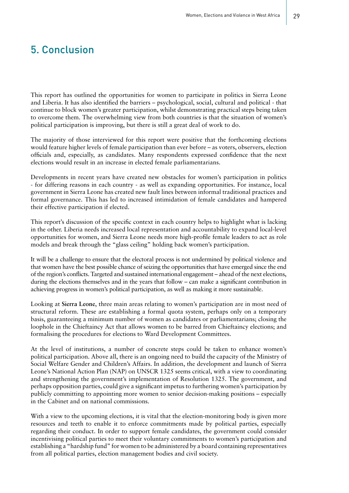## 5. Conclusion

This report has outlined the opportunities for women to participate in politics in Sierra Leone and Liberia. It has also identified the barriers – psychological, social, cultural and political - that continue to block women's greater participation, whilst demonstrating practical steps being taken to overcome them. The overwhelming view from both countries is that the situation of women's political participation is improving, but there is still a great deal of work to do.

The majority of those interviewed for this report were positive that the forthcoming elections would feature higher levels of female participation than ever before – as voters, observers, election officials and, especially, as candidates. Many respondents expressed confidence that the next elections would result in an increase in elected female parliamentarians.

Developments in recent years have created new obstacles for women's participation in politics - for differing reasons in each country - as well as expanding opportunities. For instance, local government in Sierra Leone has created new fault lines between informal traditional practices and formal governance. This has led to increased intimidation of female candidates and hampered their effective participation if elected.

This report's discussion of the specific context in each country helps to highlight what is lacking in the other. Liberia needs increased local representation and accountability to expand local-level opportunities for women, and Sierra Leone needs more high-profile female leaders to act as role models and break through the "glass ceiling" holding back women's participation.

It will be a challenge to ensure that the electoral process is not undermined by political violence and that women have the best possible chance of seizing the opportunities that have emerged since the end of the region's conflicts. Targeted and sustained international engagement – ahead of the next elections, during the elections themselves and in the years that follow – can make a significant contribution in achieving progress in women's political participation, as well as making it more sustainable.

Looking at **Sierra Leone**, three main areas relating to women's participation are in most need of structural reform. These are establishing a formal quota system, perhaps only on a temporary basis, guaranteeing a minimum number of women as candidates or parliamentarians; closing the loophole in the Chieftaincy Act that allows women to be barred from Chieftaincy elections; and formalising the procedures for elections to Ward Development Committees.

At the level of institutions, a number of concrete steps could be taken to enhance women's political participation. Above all, there is an ongoing need to build the capacity of the Ministry of Social Welfare Gender and Children's Affairs. In addition, the development and launch of Sierra Leone's National Action Plan (NAP) on UNSCR 1325 seems critical, with a view to coordinating and strengthening the government's implementation of Resolution 1325. The government, and perhaps opposition parties, could give a significant impetus to furthering women's participation by publicly committing to appointing more women to senior decision-making positions – especially in the Cabinet and on national commissions.

With a view to the upcoming elections, it is vital that the election-monitoring body is given more resources and teeth to enable it to enforce commitments made by political parties, especially regarding their conduct. In order to support female candidates, the government could consider incentivising political parties to meet their voluntary commitments to women's participation and establishing a "hardship fund" for women to be administered by a board containing representatives from all political parties, election management bodies and civil society.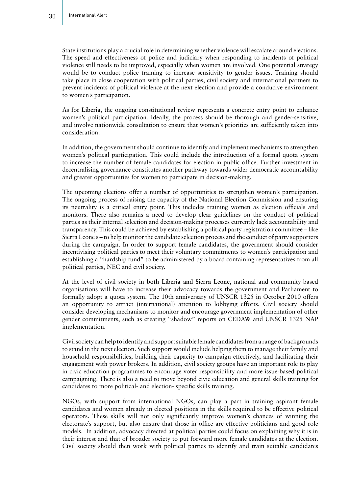State institutions play a crucial role in determining whether violence will escalate around elections. The speed and effectiveness of police and judiciary when responding to incidents of political violence still needs to be improved, especially when women are involved. One potential strategy would be to conduct police training to increase sensitivity to gender issues. Training should take place in close cooperation with political parties, civil society and international partners to prevent incidents of political violence at the next election and provide a conducive environment to women's participation.

As for **Liberia**, the ongoing constitutional review represents a concrete entry point to enhance women's political participation. Ideally, the process should be thorough and gender-sensitive, and involve nationwide consultation to ensure that women's priorities are sufficiently taken into consideration.

In addition, the government should continue to identify and implement mechanisms to strengthen women's political participation. This could include the introduction of a formal quota system to increase the number of female candidates for election in public office. Further investment in decentralising governance constitutes another pathway towards wider democratic accountability and greater opportunities for women to participate in decision-making.

The upcoming elections offer a number of opportunities to strengthen women's participation. The ongoing process of raising the capacity of the National Election Commission and ensuring its neutrality is a critical entry point. This includes training women as election officials and monitors. There also remains a need to develop clear guidelines on the conduct of political parties as their internal selection and decision-making processes currently lack accountability and transparency. This could be achieved by establishing a political party registration committee – like Sierra Leone's – to help monitor the candidate selection process and the conduct of party supporters during the campaign. In order to support female candidates, the government should consider incentivising political parties to meet their voluntary commitments to women's participation and establishing a "hardship fund" to be administered by a board containing representatives from all political parties, NEC and civil society.

At the level of civil society in **both Liberia and Sierra Leone**, national and community-based organisations will have to increase their advocacy towards the government and Parliament to formally adopt a quota system. The 10th anniversary of UNSCR 1325 in October 2010 offers an opportunity to attract (international) attention to lobbying efforts. Civil society should consider developing mechanisms to monitor and encourage government implementation of other gender commitments, such as creating "shadow" reports on CEDAW and UNSCR 1325 NAP implementation.

Civil society can help to identify and support suitable female candidates from a range of backgrounds to stand in the next election. Such support would include helping them to manage their family and household responsibilities, building their capacity to campaign effectively, and facilitating their engagement with power brokers. In addition, civil society groups have an important role to play in civic education programmes to encourage voter responsibility and more issue-based political campaigning. There is also a need to move beyond civic education and general skills training for candidates to more political- and election- specific skills training.

NGOs, with support from international NGOs, can play a part in training aspirant female candidates and women already in elected positions in the skills required to be effective political operators. These skills will not only significantly improve women's chances of winning the electorate's support, but also ensure that those in office are effective politicians and good role models. In addition, advocacy directed at political parties could focus on explaining why it is in their interest and that of broader society to put forward more female candidates at the election. Civil society should then work with political parties to identify and train suitable candidates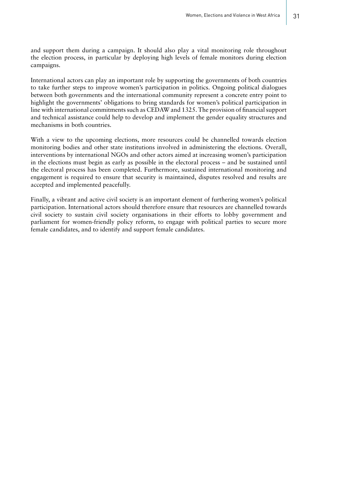and support them during a campaign. It should also play a vital monitoring role throughout the election process, in particular by deploying high levels of female monitors during election campaigns.

International actors can play an important role by supporting the governments of both countries to take further steps to improve women's participation in politics. Ongoing political dialogues between both governments and the international community represent a concrete entry point to highlight the governments' obligations to bring standards for women's political participation in line with international commitments such as CEDAW and 1325. The provision of financial support and technical assistance could help to develop and implement the gender equality structures and mechanisms in both countries.

With a view to the upcoming elections, more resources could be channelled towards election monitoring bodies and other state institutions involved in administering the elections. Overall, interventions by international NGOs and other actors aimed at increasing women's participation in the elections must begin as early as possible in the electoral process – and be sustained until the electoral process has been completed. Furthermore, sustained international monitoring and engagement is required to ensure that security is maintained, disputes resolved and results are accepted and implemented peacefully.

Finally, a vibrant and active civil society is an important element of furthering women's political participation. International actors should therefore ensure that resources are channelled towards civil society to sustain civil society organisations in their efforts to lobby government and parliament for women-friendly policy reform, to engage with political parties to secure more female candidates, and to identify and support female candidates.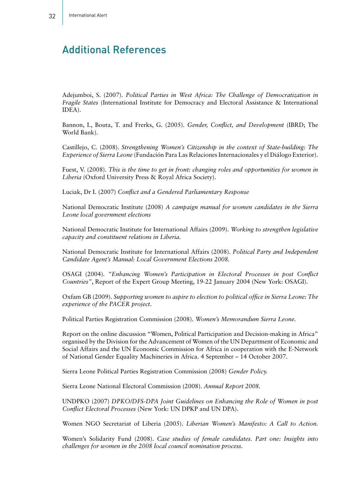# Additional References

Adejumboi, S. (2007). *Political Parties in West Africa: The Challenge of Democratization in Fragile States* (International Institute for Democracy and Electoral Assistance & International IDEA).

Bannon, I., Bouta, T. and Frerks, G. (2005). *Gender, Conflict, and Development* (IBRD; The World Bank).

Castillejo, C. (2008). *Strengthening Women's Citizenship in the context of State-building: The Experience of Sierra Leone* (Fundación Para Las Relaciones Internacionales y el Diálogo Exterior).

Fuest, V. (2008). *This is the time to get in front: changing roles and opportunities for women in Liberia* (Oxford University Press & Royal Africa Society).

Luciak, Dr I. (2007) *Conflict and a Gendered Parliamentary Response*

National Democratic Institute (2008) *A campaign manual for women candidates in the Sierra Leone local government elections*

National Democratic Institute for International Affairs (2009). *Working to strengthen legislative capacity and constituent relations in Liberia.*

National Democratic Institute for International Affairs (2008). *Political Party and Independent Candidate Agent's Manual: Local Government Elections 2008.*

OSAGI (2004). *"Enhancing Women's Participation in Electoral Processes in post Conflict Countries"*, Report of the Expert Group Meeting, 19-22 January 2004 (New York: OSAGI).

Oxfam GB (2009). *Supporting women to aspire to election to political office in Sierra Leone: The experience of the PACER project.*

Political Parties Registration Commission (2008). *Women's Memorandum Sierra Leone.*

Report on the online discussion "Women, Political Participation and Decision-making in Africa" organised by the Division for the Advancement of Women of the UN Department of Economic and Social Affairs and the UN Economic Commission for Africa in cooperation with the E-Network of National Gender Equality Machineries in Africa. 4 September – 14 October 2007.

Sierra Leone Political Parties Registration Commission (2008) *Gender Policy.*

Sierra Leone National Electoral Commission (2008). *Annual Report 2008.*

UNDPKO (2007) *DPKO/DFS-DPA Joint Guidelines on Enhancing the Role of Women in post Conflict Electoral Processes* (New York: UN DPKP and UN DPA).

Women NGO Secretariat of Liberia (2005). *Liberian Women's Manifesto: A Call to Action.*

Women's Solidarity Fund (2008). *Case studies of female candidates. Part one: Insights into challenges for women in the 2008 local council nomination process.*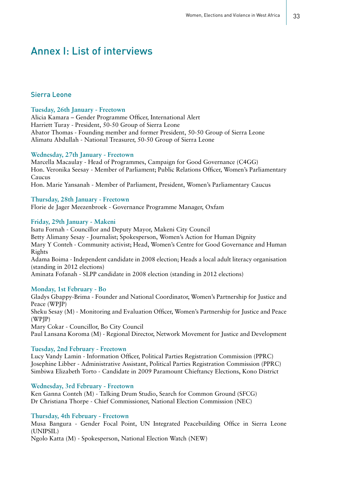### Annex I: List of interviews

#### Sierra Leone

#### **Tuesday, 26th January - Freetown**

Alicia Kamara – Gender Programme Officer, International Alert Harriett Turay - President, 50-50 Group of Sierra Leone Abator Thomas - Founding member and former President, 50-50 Group of Sierra Leone Alimatu Abdullah - National Treasurer, 50-50 Group of Sierra Leone

#### **Wednesday, 27th January - Freetown**

Marcella Macaulay - Head of Programmes, Campaign for Good Governance (C4GG) Hon. Veronika Seesay - Member of Parliament; Public Relations Officer, Women's Parliamentary Caucus

Hon. Marie Yansanah - Member of Parliament, President, Women's Parliamentary Caucus

#### **Thursday, 28th January - Freetown**

Florie de Jager Meezenbroek - Governance Programme Manager, Oxfam

#### **Friday, 29th January - Makeni**

Isatu Fornah - Councillor and Deputy Mayor, Makeni City Council Betty Alimany Sesay - Journalist; Spokesperson, Women's Action for Human Dignity Mary Y Conteh - Community activist; Head, Women's Centre for Good Governance and Human Rights Adama Boima - Independent candidate in 2008 election; Heads a local adult literacy organisation (standing in 2012 elections) Aminata Fofanah - SLPP candidate in 2008 election (standing in 2012 elections)

#### **Monday, 1st February - Bo**

Gladys Gbappy-Brima - Founder and National Coordinator, Women's Partnership for Justice and Peace (WPJP) Sheku Sesay (M) - Monitoring and Evaluation Officer, Women's Partnership for Justice and Peace (WPJP) Mary Cokar - Councillor, Bo City Council Paul Lansana Koroma (M) - Regional Director, Network Movement for Justice and Development

#### **Tuesday, 2nd February - Freetown**

Lucy Vandy Lamin - Information Officer, Political Parties Registration Commission (PPRC) Josephine Libber - Administrative Assistant, Political Parties Registration Commission (PPRC) Simbiwa Elizabeth Torto - Candidate in 2009 Paramount Chieftancy Elections, Kono District

#### **Wednesday, 3rd February - Freetown**

Ken Ganna Conteh (M) - Talking Drum Studio, Search for Common Ground (SFCG) Dr Christiana Thorpe - Chief Commissioner, National Election Commission (NEC)

#### **Thursday, 4th February - Freetown**

Musa Bangura - Gender Focal Point, UN Integrated Peacebuilding Office in Sierra Leone (UNIPSIL)

Ngolo Katta (M) - Spokesperson, National Election Watch (NEW)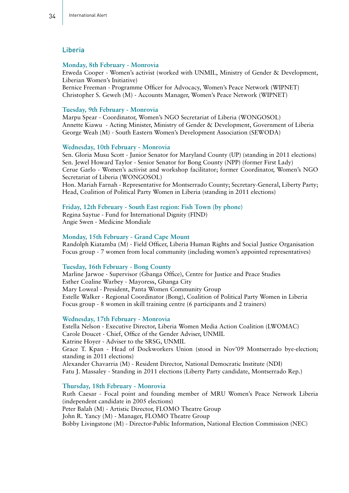#### Liberia

#### **Monday, 8th February - Monrovia**

Etweda Cooper - Women's activist (worked with UNMIL, Ministry of Gender & Development, Liberian Women's Initiative)

Bernice Freeman - Programme Officer for Advocacy, Women's Peace Network (WIPNET) Christopher S. Geweh (M) - Accounts Manager, Women's Peace Network (WIPNET)

#### **Tuesday, 9th February - Monrovia**

Marpu Spear - Coordinator, Women's NGO Secretariat of Liberia (WONGOSOL) Annette Kiawu - Acting Minister, Ministry of Gender & Development, Government of Liberia George Weah (M) - South Eastern Women's Development Association (SEWODA)

#### **Wednesday, 10th February - Monrovia**

Sen. Gloria Musu Scott - Junior Senator for Maryland County (UP) (standing in 2011 elections) Sen. Jewel Howard Taylor - Senior Senator for Bong County (NPP) (former First Lady) Cerue Garlo - Women's activist and workshop facilitator; former Coordinator, Women's NGO Secretariat of Liberia (WONGOSOL)

Hon. Mariah Farnah - Representative for Montserrado County; Secretary-General, Liberty Party; Head, Coalition of Political Party Women in Liberia (standing in 2011 elections)

#### **Friday, 12th February - South East region: Fish Town (by phone)**

Regina Saytue - Fund for International Dignity (FIND) Angie Swen - Medicine Mondiale

#### **Monday, 15th February - Grand Cape Mount**

Randolph Kiatamba (M) - Field Officer, Liberia Human Rights and Social Justice Organisation Focus group - 7 women from local community (including women's appointed representatives)

#### **Tuesday, 16th February - Bong County**

Marline Jarwoe - Supervisor (Gbanga Office), Centre for Justice and Peace Studies Esther Coaline Warbey - Mayoress, Gbanga City Mary Loweal - President, Panta Women Community Group Estelle Walker - Regional Coordinator (Bong), Coalition of Political Party Women in Liberia Focus group - 8 women in skill training centre (6 participants and 2 trainers)

#### **Wednesday, 17th February - Monrovia**

Estella Nelson - Executive Director, Liberia Women Media Action Coalition (LWOMAC) Carole Doucet - Chief, Office of the Gender Adviser, UNMIL Katrine Hoyer - Adviser to the SRSG, UNMIL Grace T. Kpan - Head of Dockworkers Union (stood in Nov'09 Montserrado bye-election; standing in 2011 elections) Alexander Chavarria (M) - Resident Director, National Democratic Institute (NDI) Fatu J. Massaley - Standing in 2011 elections (Liberty Party candidate, Montserrado Rep.)

#### **Thursday, 18th February - Monrovia**

Ruth Caesar - Focal point and founding member of MRU Women's Peace Network Liberia (independent candidate in 2005 elections) Peter Balah (M) - Artistic Director, FLOMO Theatre Group John R. Yancy (M) - Manager, FLOMO Theatre Group Bobby Livingstone (M) - Director-Public Information, National Election Commission (NEC)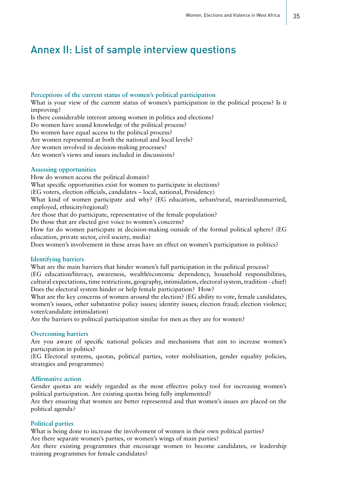### Annex II: List of sample interview questions

#### **Perceptions of the current status of women's political participation**

What is your view of the current status of women's participation in the political process? Is it improving?

Is there considerable interest among women in politics and elections?

Do women have sound knowledge of the political process?

Do women have equal access to the political process?

Are women represented at both the national and local levels?

Are women involved in decision-making processes?

Are women's views and issues included in discussions?

#### **Assessing opportunities**

How do women access the political domain? What specific opportunities exist for women to participate in elections? (EG voters, election officials, candidates – local, national, Presidency) What kind of women participate and why? (EG education, urban/rural, married/unmarried, employed, ethnicity/regional) Are those that do participate, representative of the female population? Do those that are elected give voice to women's concerns? How far do women participate in decision-making outside of the formal political sphere? (EG

education, private sector, civil society, media)

Does women's involvement in these areas have an effect on women's participation in politics?

#### **Identifying barriers**

What are the main barriers that hinder women's full participation in the political process? (EG education/literacy, awareness, wealth/economic dependency, household responsibilities, cultural expectations, time restrictions, geography, intimidation, electoral system, tradition - chief) Does the electoral system hinder or help female participation? How?

What are the key concerns of women around the election? (EG ability to vote, female candidates, women's issues, other substantive policy issues; identity issues; election fraud; election violence; voter/candidate intimidation)

Are the barriers to political participation similar for men as they are for women?

#### **Overcoming barriers**

Are you aware of specific national policies and mechanisms that aim to increase women's participation in politics?

(EG Electoral systems, quotas, political parties, voter mobilisation, gender equality policies, strategies and programmes)

#### **Affirmative action**

Gender quotas are widely regarded as the most effective policy tool for increasing women's political participation. Are existing quotas being fully implemented?

Are they ensuring that women are better represented and that women's issues are placed on the political agenda?

#### **Political parties**

What is being done to increase the involvement of women in their own political parties? Are there separate women's parties, or women's wings of main parties?

Are there existing programmes that encourage women to become candidates, or leadership training programmes for female candidates?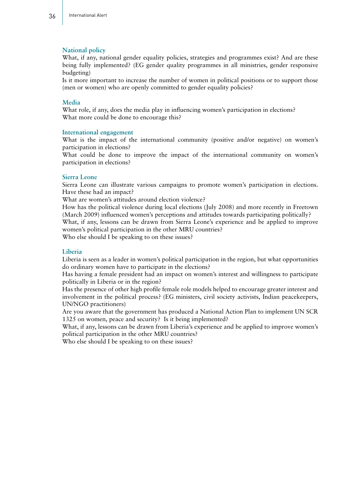#### **National policy**

What, if any, national gender equality policies, strategies and programmes exist? And are these being fully implemented? (EG gender quality programmes in all ministries, gender responsive budgeting)

Is it more important to increase the number of women in political positions or to support those (men or women) who are openly committed to gender equality policies?

#### **Media**

What role, if any, does the media play in influencing women's participation in elections? What more could be done to encourage this?

#### **International engagement**

What is the impact of the international community (positive and/or negative) on women's participation in elections?

What could be done to improve the impact of the international community on women's participation in elections?

#### **Sierra Leone**

Sierra Leone can illustrate various campaigns to promote women's participation in elections. Have these had an impact?

What are women's attitudes around election violence?

How has the political violence during local elections (July 2008) and more recently in Freetown (March 2009) influenced women's perceptions and attitudes towards participating politically?

What, if any, lessons can be drawn from Sierra Leone's experience and be applied to improve women's political participation in the other MRU countries?

Who else should I be speaking to on these issues?

#### **Liberia**

Liberia is seen as a leader in women's political participation in the region, but what opportunities do ordinary women have to participate in the elections?

Has having a female president had an impact on women's interest and willingness to participate politically in Liberia or in the region?

Has the presence of other high profile female role models helped to encourage greater interest and involvement in the political process? (EG ministers, civil society activists, Indian peacekeepers, UN/NGO practitioners)

Are you aware that the government has produced a National Action Plan to implement UN SCR 1325 on women, peace and security? Is it being implemented?

What, if any, lessons can be drawn from Liberia's experience and be applied to improve women's political participation in the other MRU countries?

Who else should I be speaking to on these issues?